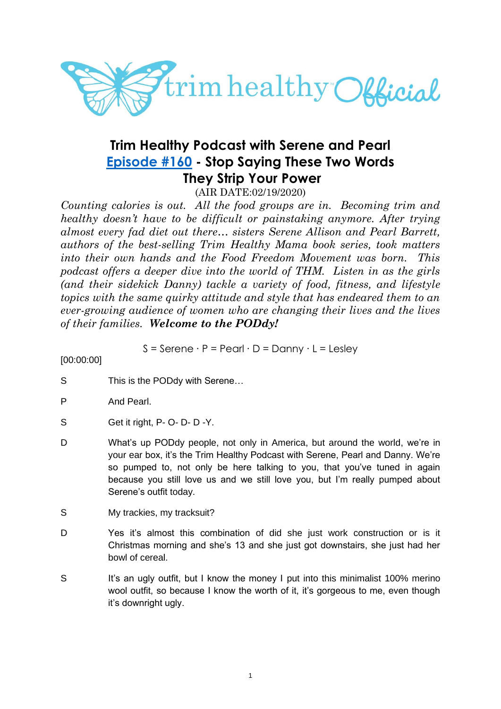

# **Trim Healthy Podcast with Serene and Pearl [Episode #160](https://cms.megaphone.fm/channel/trimhealthypodcast?selected=ADL5383411402) - Stop Saying These Two Words They Strip Your Power**

(AIR DATE:02/19/2020)

*Counting calories is out. All the food groups are in. Becoming trim and healthy doesn't have to be difficult or painstaking anymore. After trying almost every fad diet out there… sisters Serene Allison and Pearl Barrett, authors of the best-selling Trim Healthy Mama book series, took matters into their own hands and the Food Freedom Movement was born. This podcast offers a deeper dive into the world of THM. Listen in as the girls (and their sidekick Danny) tackle a variety of food, fitness, and lifestyle topics with the same quirky attitude and style that has endeared them to an ever-growing audience of women who are changing their lives and the lives of their families. Welcome to the PODdy!*

S = Serene ∙ P = Pearl ∙ D = Danny ∙ L = Lesley

[00:00:00]

- S This is the PODdy with Serene...
- P And Pearl.
- S Get it right, P- O- D- D-Y.
- D What's up PODdy people, not only in America, but around the world, we're in your ear box, it's the Trim Healthy Podcast with Serene, Pearl and Danny. We're so pumped to, not only be here talking to you, that you've tuned in again because you still love us and we still love you, but I'm really pumped about Serene's outfit today.
- S My trackies, my tracksuit?
- D Yes it's almost this combination of did she just work construction or is it Christmas morning and she's 13 and she just got downstairs, she just had her bowl of cereal.
- S It's an ugly outfit, but I know the money I put into this minimalist 100% merino wool outfit, so because I know the worth of it, it's gorgeous to me, even though it's downright ugly.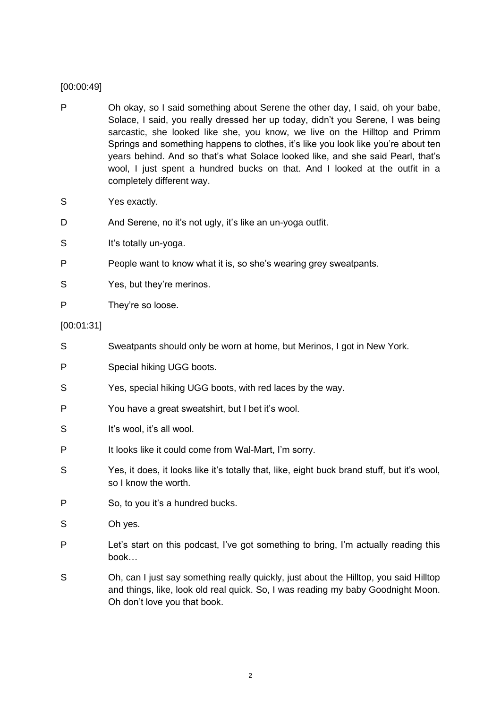# [00:00:49]

- P Oh okay, so I said something about Serene the other day, I said, oh your babe, Solace, I said, you really dressed her up today, didn't you Serene, I was being sarcastic, she looked like she, you know, we live on the Hilltop and Primm Springs and something happens to clothes, it's like you look like you're about ten years behind. And so that's what Solace looked like, and she said Pearl, that's wool, I just spent a hundred bucks on that. And I looked at the outfit in a completely different way.
- S Yes exactly.
- D And Serene, no it's not ugly, it's like an un-yoga outfit.
- S It's totally un-yoga.
- P People want to know what it is, so she's wearing grey sweatpants.
- S Yes, but they're merinos.
- P They're so loose.

# [00:01:31]

- S Sweatpants should only be worn at home, but Merinos, I got in New York. P Special hiking UGG boots. S Yes, special hiking UGG boots, with red laces by the way. P You have a great sweatshirt, but I bet it's wool. S It's wool, it's all wool. P It looks like it could come from Wal-Mart, I'm sorry. S Yes, it does, it looks like it's totally that, like, eight buck brand stuff, but it's wool, so I know the worth. P So, to you it's a hundred bucks. S Oh yes. P Let's start on this podcast, I've got something to bring, I'm actually reading this book…
- S Oh, can I just say something really quickly, just about the Hilltop, you said Hilltop and things, like, look old real quick. So, I was reading my baby Goodnight Moon. Oh don't love you that book.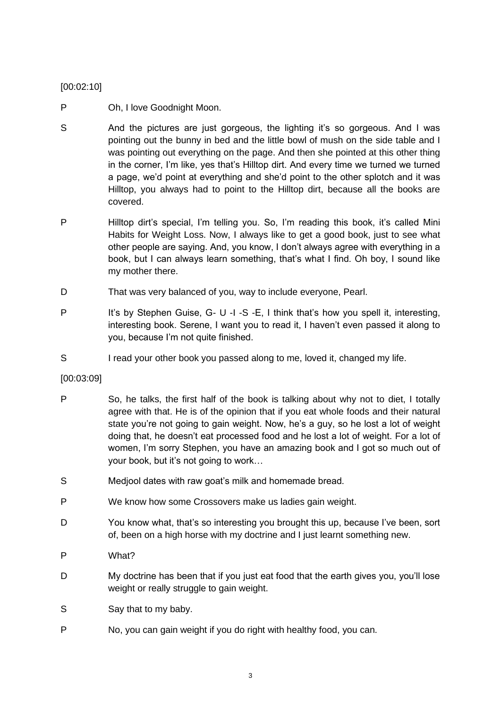# [00:02:10]

- P Oh, I love Goodnight Moon.
- S And the pictures are just gorgeous, the lighting it's so gorgeous. And I was pointing out the bunny in bed and the little bowl of mush on the side table and I was pointing out everything on the page. And then she pointed at this other thing in the corner, I'm like, yes that's Hilltop dirt. And every time we turned we turned a page, we'd point at everything and she'd point to the other splotch and it was Hilltop, you always had to point to the Hilltop dirt, because all the books are covered.
- P Hilltop dirt's special, I'm telling you. So, I'm reading this book, it's called Mini Habits for Weight Loss. Now, I always like to get a good book, just to see what other people are saying. And, you know, I don't always agree with everything in a book, but I can always learn something, that's what I find. Oh boy, I sound like my mother there.
- D That was very balanced of you, way to include everyone, Pearl.
- P It's by Stephen Guise, G- U -I -S -E, I think that's how you spell it, interesting, interesting book. Serene, I want you to read it, I haven't even passed it along to you, because I'm not quite finished.
- S I read your other book you passed along to me, loved it, changed my life.

# [00:03:09]

- P So, he talks, the first half of the book is talking about why not to diet, I totally agree with that. He is of the opinion that if you eat whole foods and their natural state you're not going to gain weight. Now, he's a guy, so he lost a lot of weight doing that, he doesn't eat processed food and he lost a lot of weight. For a lot of women, I'm sorry Stephen, you have an amazing book and I got so much out of your book, but it's not going to work…
- S Medjool dates with raw goat's milk and homemade bread.
- P We know how some Crossovers make us ladies gain weight.
- D You know what, that's so interesting you brought this up, because I've been, sort of, been on a high horse with my doctrine and I just learnt something new.
- P What?
- D My doctrine has been that if you just eat food that the earth gives you, you'll lose weight or really struggle to gain weight.
- S Say that to my baby.
- P No, you can gain weight if you do right with healthy food, you can.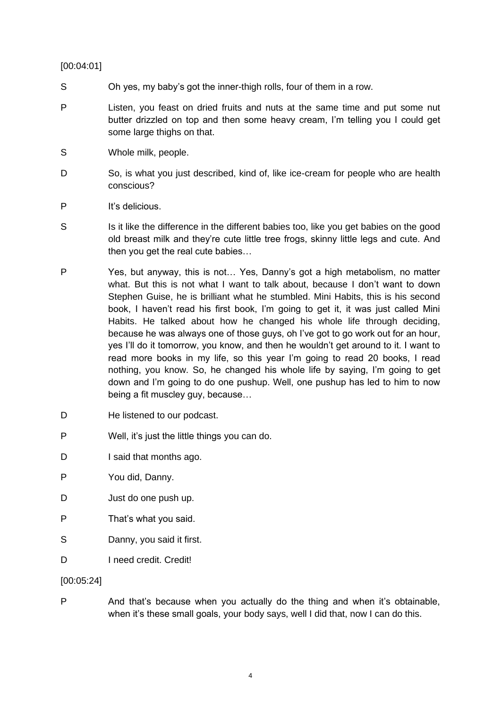# [00:04:01]

- S Oh yes, my baby's got the inner-thigh rolls, four of them in a row.
- P Listen, you feast on dried fruits and nuts at the same time and put some nut butter drizzled on top and then some heavy cream, I'm telling you I could get some large thighs on that.
- S Whole milk, people.
- D So, is what you just described, kind of, like ice-cream for people who are health conscious?
- P It's delicious.
- S Is it like the difference in the different babies too, like you get babies on the good old breast milk and they're cute little tree frogs, skinny little legs and cute. And then you get the real cute babies…
- P Yes, but anyway, this is not… Yes, Danny's got a high metabolism, no matter what. But this is not what I want to talk about, because I don't want to down Stephen Guise, he is brilliant what he stumbled. Mini Habits, this is his second book, I haven't read his first book, I'm going to get it, it was just called Mini Habits. He talked about how he changed his whole life through deciding, because he was always one of those guys, oh I've got to go work out for an hour, yes I'll do it tomorrow, you know, and then he wouldn't get around to it. I want to read more books in my life, so this year I'm going to read 20 books, I read nothing, you know. So, he changed his whole life by saying, I'm going to get down and I'm going to do one pushup. Well, one pushup has led to him to now being a fit muscley guy, because…
- D He listened to our podcast.
- P Well, it's just the little things you can do.
- D I said that months ago.
- P You did, Danny.
- D Just do one push up.
- P That's what you said.
- S Danny, you said it first.
- D I need credit. Credit!

# [00:05:24]

P And that's because when you actually do the thing and when it's obtainable, when it's these small goals, your body says, well I did that, now I can do this.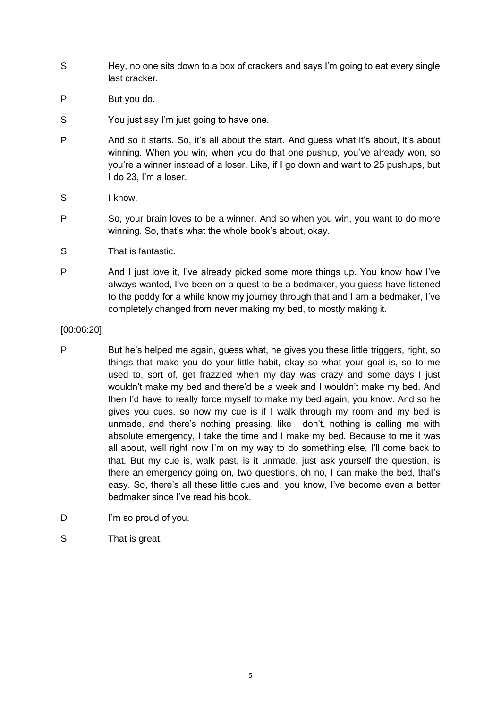- S Hey, no one sits down to a box of crackers and says I'm going to eat every single last cracker.
- P But you do.
- S You just say I'm just going to have one.
- P And so it starts. So, it's all about the start. And guess what it's about, it's about winning. When you win, when you do that one pushup, you've already won, so you're a winner instead of a loser. Like, if I go down and want to 25 pushups, but I do 23, I'm a loser.
- S I know.
- P So, your brain loves to be a winner. And so when you win, you want to do more winning. So, that's what the whole book's about, okay.
- S That is fantastic.
- P And I just love it, I've already picked some more things up. You know how I've always wanted, I've been on a quest to be a bedmaker, you guess have listened to the poddy for a while know my journey through that and I am a bedmaker, I've completely changed from never making my bed, to mostly making it.

[00:06:20]

- P But he's helped me again, guess what, he gives you these little triggers, right, so things that make you do your little habit, okay so what your goal is, so to me used to, sort of, get frazzled when my day was crazy and some days I just wouldn't make my bed and there'd be a week and I wouldn't make my bed. And then I'd have to really force myself to make my bed again, you know. And so he gives you cues, so now my cue is if I walk through my room and my bed is unmade, and there's nothing pressing, like I don't, nothing is calling me with absolute emergency, I take the time and I make my bed. Because to me it was all about, well right now I'm on my way to do something else, I'll come back to that. But my cue is, walk past, is it unmade, just ask yourself the question, is there an emergency going on, two questions, oh no, I can make the bed, that's easy. So, there's all these little cues and, you know, I've become even a better bedmaker since I've read his book.
- D I'm so proud of you.
- S That is great.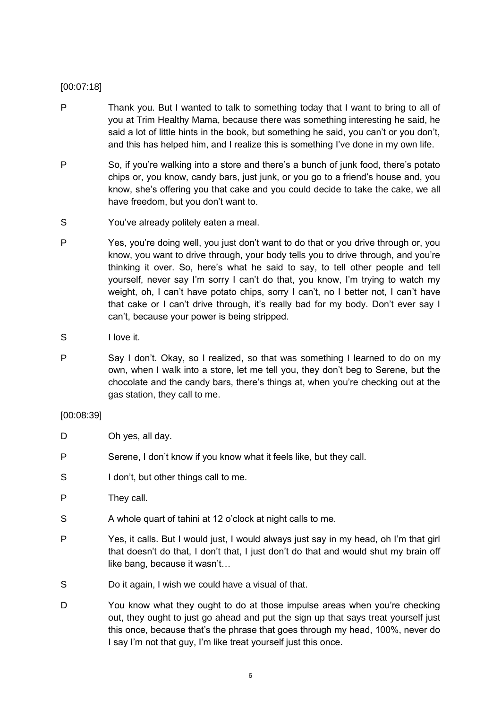# [00:07:18]

- P Thank you. But I wanted to talk to something today that I want to bring to all of you at Trim Healthy Mama, because there was something interesting he said, he said a lot of little hints in the book, but something he said, you can't or you don't, and this has helped him, and I realize this is something I've done in my own life.
- P So, if you're walking into a store and there's a bunch of junk food, there's potato chips or, you know, candy bars, just junk, or you go to a friend's house and, you know, she's offering you that cake and you could decide to take the cake, we all have freedom, but you don't want to.
- S You've already politely eaten a meal.
- P Yes, you're doing well, you just don't want to do that or you drive through or, you know, you want to drive through, your body tells you to drive through, and you're thinking it over. So, here's what he said to say, to tell other people and tell yourself, never say I'm sorry I can't do that, you know, I'm trying to watch my weight, oh, I can't have potato chips, sorry I can't, no I better not, I can't have that cake or I can't drive through, it's really bad for my body. Don't ever say I can't, because your power is being stripped.
- S I love it.
- P Say I don't. Okay, so I realized, so that was something I learned to do on my own, when I walk into a store, let me tell you, they don't beg to Serene, but the chocolate and the candy bars, there's things at, when you're checking out at the gas station, they call to me.

# [00:08:39]

- D Oh yes, all day.
- P Serene, I don't know if you know what it feels like, but they call.
- S I don't, but other things call to me.
- P They call.
- S A whole quart of tahini at 12 o'clock at night calls to me.
- P Yes, it calls. But I would just, I would always just say in my head, oh I'm that girl that doesn't do that, I don't that, I just don't do that and would shut my brain off like bang, because it wasn't…
- S Do it again, I wish we could have a visual of that.
- D You know what they ought to do at those impulse areas when you're checking out, they ought to just go ahead and put the sign up that says treat yourself just this once, because that's the phrase that goes through my head, 100%, never do I say I'm not that guy, I'm like treat yourself just this once.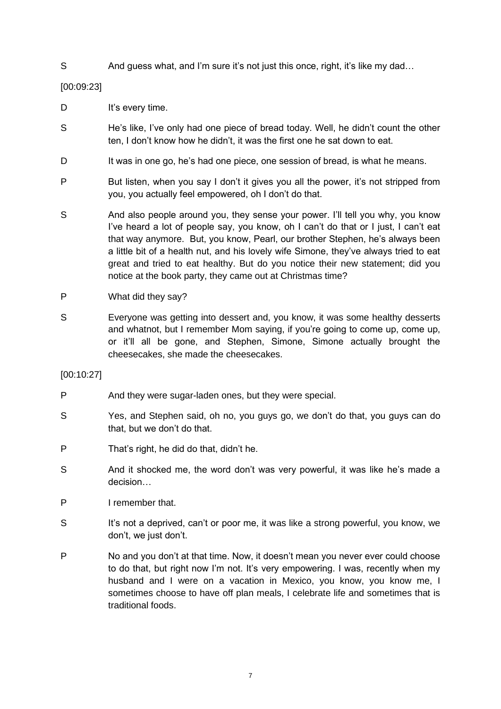S And guess what, and I'm sure it's not just this once, right, it's like my dad...

[00:09:23]

- D It's every time.
- S He's like, I've only had one piece of bread today. Well, he didn't count the other ten, I don't know how he didn't, it was the first one he sat down to eat.
- D It was in one go, he's had one piece, one session of bread, is what he means.
- P But listen, when you say I don't it gives you all the power, it's not stripped from you, you actually feel empowered, oh I don't do that.
- S And also people around you, they sense your power. I'll tell you why, you know I've heard a lot of people say, you know, oh I can't do that or I just, I can't eat that way anymore. But, you know, Pearl, our brother Stephen, he's always been a little bit of a health nut, and his lovely wife Simone, they've always tried to eat great and tried to eat healthy. But do you notice their new statement; did you notice at the book party, they came out at Christmas time?
- P What did they say?
- S Everyone was getting into dessert and, you know, it was some healthy desserts and whatnot, but I remember Mom saying, if you're going to come up, come up, or it'll all be gone, and Stephen, Simone, Simone actually brought the cheesecakes, she made the cheesecakes.

[00:10:27]

- P And they were sugar-laden ones, but they were special.
- S Yes, and Stephen said, oh no, you guys go, we don't do that, you guys can do that, but we don't do that.
- P That's right, he did do that, didn't he.
- S And it shocked me, the word don't was very powerful, it was like he's made a decision…
- P I remember that.
- S It's not a deprived, can't or poor me, it was like a strong powerful, you know, we don't, we just don't.
- P No and you don't at that time. Now, it doesn't mean you never ever could choose to do that, but right now I'm not. It's very empowering. I was, recently when my husband and I were on a vacation in Mexico, you know, you know me, I sometimes choose to have off plan meals, I celebrate life and sometimes that is traditional foods.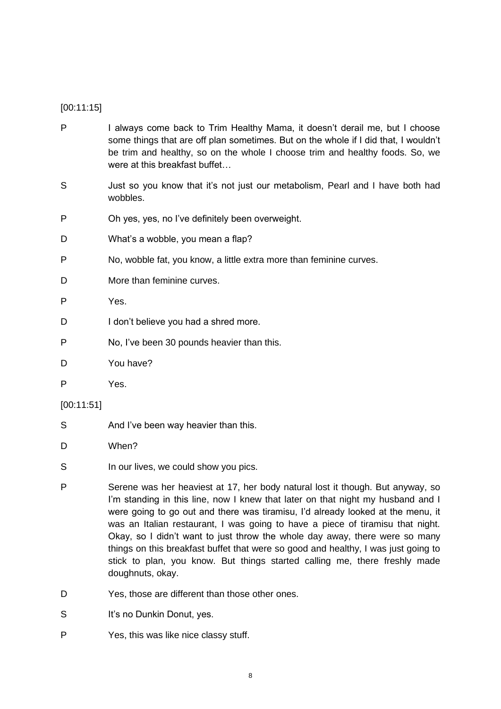# [00:11:15]

- P I always come back to Trim Healthy Mama, it doesn't derail me, but I choose some things that are off plan sometimes. But on the whole if I did that, I wouldn't be trim and healthy, so on the whole I choose trim and healthy foods. So, we were at this breakfast buffet…
- S Just so you know that it's not just our metabolism, Pearl and I have both had wobbles.
- P Oh yes, yes, no I've definitely been overweight.
- D What's a wobble, you mean a flap?
- P No, wobble fat, you know, a little extra more than feminine curves.
- D More than feminine curves.
- P Yes.
- D I don't believe you had a shred more.
- P No, I've been 30 pounds heavier than this.
- D You have?
- P Yes.

# [00:11:51]

- S And I've been way heavier than this.
- D When?
- S In our lives, we could show you pics.
- P Serene was her heaviest at 17, her body natural lost it though. But anyway, so I'm standing in this line, now I knew that later on that night my husband and I were going to go out and there was tiramisu, I'd already looked at the menu, it was an Italian restaurant, I was going to have a piece of tiramisu that night. Okay, so I didn't want to just throw the whole day away, there were so many things on this breakfast buffet that were so good and healthy, I was just going to stick to plan, you know. But things started calling me, there freshly made doughnuts, okay.
- D Yes, those are different than those other ones.
- S It's no Dunkin Donut, yes.
- P Yes, this was like nice classy stuff.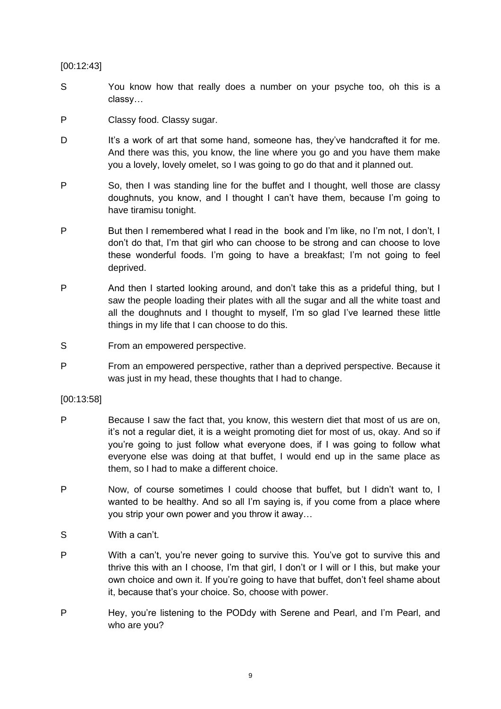# [00:12:43]

- S You know how that really does a number on your psyche too, oh this is a classy…
- P Classy food. Classy sugar.
- D It's a work of art that some hand, someone has, they've handcrafted it for me. And there was this, you know, the line where you go and you have them make you a lovely, lovely omelet, so I was going to go do that and it planned out.
- P So, then I was standing line for the buffet and I thought, well those are classy doughnuts, you know, and I thought I can't have them, because I'm going to have tiramisu tonight.
- P But then I remembered what I read in the book and I'm like, no I'm not, I don't, I don't do that, I'm that girl who can choose to be strong and can choose to love these wonderful foods. I'm going to have a breakfast; I'm not going to feel deprived.
- P And then I started looking around, and don't take this as a prideful thing, but I saw the people loading their plates with all the sugar and all the white toast and all the doughnuts and I thought to myself, I'm so glad I've learned these little things in my life that I can choose to do this.
- S From an empowered perspective.
- P From an empowered perspective, rather than a deprived perspective. Because it was just in my head, these thoughts that I had to change.

# [00:13:58]

- P Because I saw the fact that, you know, this western diet that most of us are on, it's not a regular diet, it is a weight promoting diet for most of us, okay. And so if you're going to just follow what everyone does, if I was going to follow what everyone else was doing at that buffet, I would end up in the same place as them, so I had to make a different choice.
- P Now, of course sometimes I could choose that buffet, but I didn't want to, I wanted to be healthy. And so all I'm saying is, if you come from a place where you strip your own power and you throw it away…
- S With a can't.
- P With a can't, you're never going to survive this. You've got to survive this and thrive this with an I choose, I'm that girl, I don't or I will or I this, but make your own choice and own it. If you're going to have that buffet, don't feel shame about it, because that's your choice. So, choose with power.
- P Hey, you're listening to the PODdy with Serene and Pearl, and I'm Pearl, and who are you?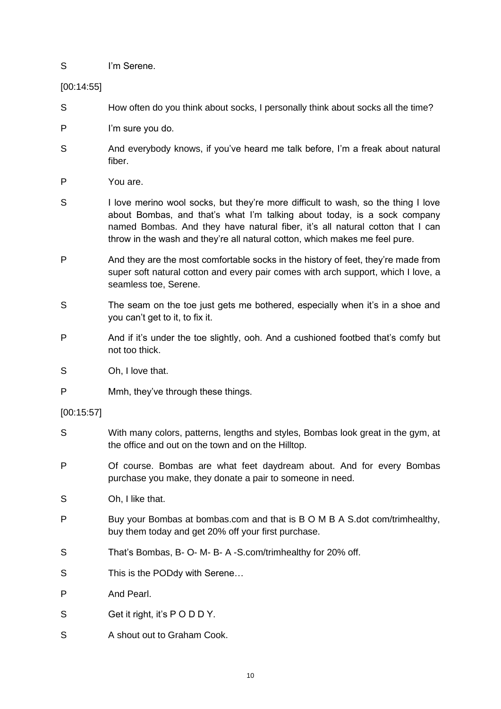S I'm Serene.

[00:14:55]

- S How often do you think about socks, I personally think about socks all the time?
- P I'm sure you do.
- S And everybody knows, if you've heard me talk before, I'm a freak about natural fiber.
- P You are.
- S I love merino wool socks, but they're more difficult to wash, so the thing I love about Bombas, and that's what I'm talking about today, is a sock company named Bombas. And they have natural fiber, it's all natural cotton that I can throw in the wash and they're all natural cotton, which makes me feel pure.
- P And they are the most comfortable socks in the history of feet, they're made from super soft natural cotton and every pair comes with arch support, which I love, a seamless toe, Serene.
- S The seam on the toe just gets me bothered, especially when it's in a shoe and you can't get to it, to fix it.
- P And if it's under the toe slightly, ooh. And a cushioned footbed that's comfy but not too thick.
- S Oh, I love that.
- P Mmh, they've through these things.

[00:15:57]

- S With many colors, patterns, lengths and styles, Bombas look great in the gym, at the office and out on the town and on the Hilltop.
- P Of course. Bombas are what feet daydream about. And for every Bombas purchase you make, they donate a pair to someone in need.
- S Oh, I like that.
- P Buy your Bombas at bombas.com and that is B O M B A S.dot com/trimhealthy, buy them today and get 20% off your first purchase.
- S That's Bombas, B- O- M- B- A -S.com/trimhealthy for 20% off.
- S This is the PODdy with Serene...
- P And Pearl.
- S Get it right, it's PODDY,
- S A shout out to Graham Cook.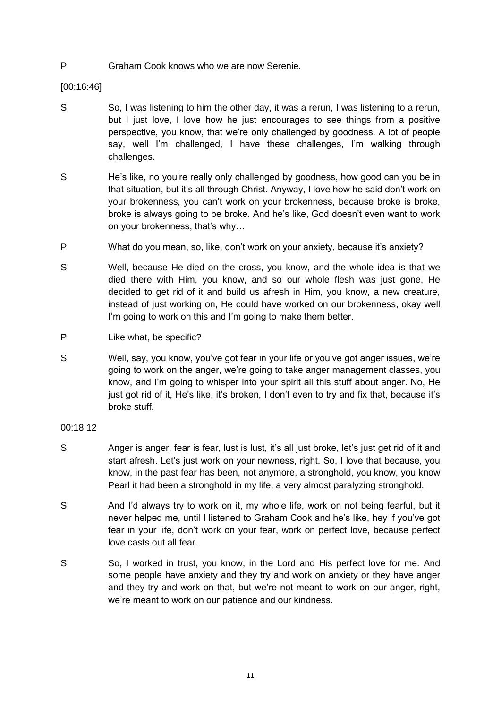P Graham Cook knows who we are now Serenie.

[00:16:46]

- S So, I was listening to him the other day, it was a rerun, I was listening to a rerun, but I just love, I love how he just encourages to see things from a positive perspective, you know, that we're only challenged by goodness. A lot of people say, well I'm challenged, I have these challenges, I'm walking through challenges.
- S He's like, no you're really only challenged by goodness, how good can you be in that situation, but it's all through Christ. Anyway, I love how he said don't work on your brokenness, you can't work on your brokenness, because broke is broke, broke is always going to be broke. And he's like, God doesn't even want to work on your brokenness, that's why…
- P What do you mean, so, like, don't work on your anxiety, because it's anxiety?
- S Well, because He died on the cross, you know, and the whole idea is that we died there with Him, you know, and so our whole flesh was just gone, He decided to get rid of it and build us afresh in Him, you know, a new creature, instead of just working on, He could have worked on our brokenness, okay well I'm going to work on this and I'm going to make them better.
- P Like what, be specific?
- S Well, say, you know, you've got fear in your life or you've got anger issues, we're going to work on the anger, we're going to take anger management classes, you know, and I'm going to whisper into your spirit all this stuff about anger. No, He just got rid of it, He's like, it's broken, I don't even to try and fix that, because it's broke stuff.

# 00:18:12

- S Anger is anger, fear is fear, lust is lust, it's all just broke, let's just get rid of it and start afresh. Let's just work on your newness, right. So, I love that because, you know, in the past fear has been, not anymore, a stronghold, you know, you know Pearl it had been a stronghold in my life, a very almost paralyzing stronghold.
- S And I'd always try to work on it, my whole life, work on not being fearful, but it never helped me, until I listened to Graham Cook and he's like, hey if you've got fear in your life, don't work on your fear, work on perfect love, because perfect love casts out all fear.
- S So, I worked in trust, you know, in the Lord and His perfect love for me. And some people have anxiety and they try and work on anxiety or they have anger and they try and work on that, but we're not meant to work on our anger, right, we're meant to work on our patience and our kindness.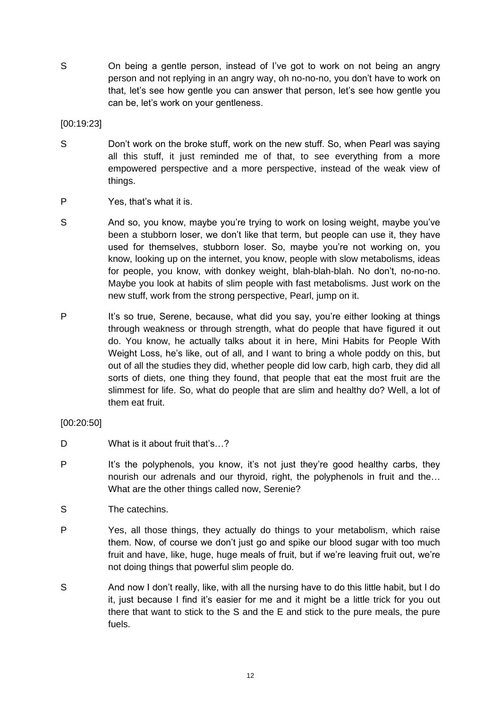S On being a gentle person, instead of I've got to work on not being an angry person and not replying in an angry way, oh no-no-no, you don't have to work on that, let's see how gentle you can answer that person, let's see how gentle you can be, let's work on your gentleness.

[00:19:23]

- S Don't work on the broke stuff, work on the new stuff. So, when Pearl was saying all this stuff, it just reminded me of that, to see everything from a more empowered perspective and a more perspective, instead of the weak view of things.
- P Yes, that's what it is.
- S And so, you know, maybe you're trying to work on losing weight, maybe you've been a stubborn loser, we don't like that term, but people can use it, they have used for themselves, stubborn loser. So, maybe you're not working on, you know, looking up on the internet, you know, people with slow metabolisms, ideas for people, you know, with donkey weight, blah-blah-blah. No don't, no-no-no. Maybe you look at habits of slim people with fast metabolisms. Just work on the new stuff, work from the strong perspective, Pearl, jump on it.
- P It's so true, Serene, because, what did you say, you're either looking at things through weakness or through strength, what do people that have figured it out do. You know, he actually talks about it in here, Mini Habits for People With Weight Loss, he's like, out of all, and I want to bring a whole poddy on this, but out of all the studies they did, whether people did low carb, high carb, they did all sorts of diets, one thing they found, that people that eat the most fruit are the slimmest for life. So, what do people that are slim and healthy do? Well, a lot of them eat fruit.
- [00:20:50]
- D What is it about fruit that's...?
- P It's the polyphenols, you know, it's not just they're good healthy carbs, they nourish our adrenals and our thyroid, right, the polyphenols in fruit and the… What are the other things called now, Serenie?
- S The catechins.
- P Yes, all those things, they actually do things to your metabolism, which raise them. Now, of course we don't just go and spike our blood sugar with too much fruit and have, like, huge, huge meals of fruit, but if we're leaving fruit out, we're not doing things that powerful slim people do.
- S And now I don't really, like, with all the nursing have to do this little habit, but I do it, just because I find it's easier for me and it might be a little trick for you out there that want to stick to the S and the E and stick to the pure meals, the pure fuels.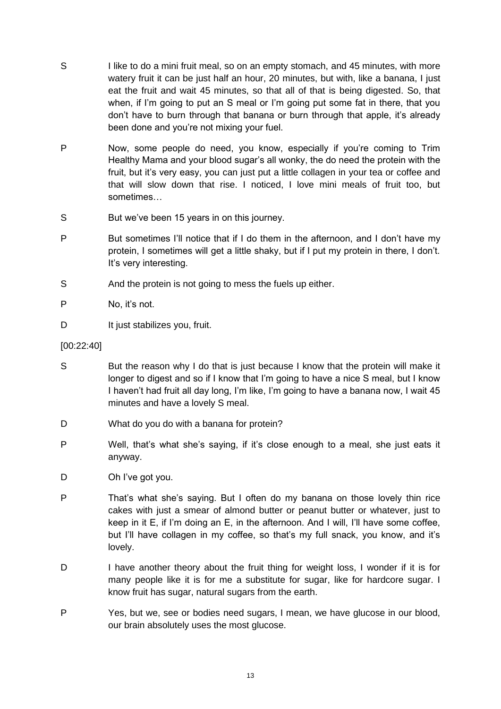- S I like to do a mini fruit meal, so on an empty stomach, and 45 minutes, with more watery fruit it can be just half an hour, 20 minutes, but with, like a banana, I just eat the fruit and wait 45 minutes, so that all of that is being digested. So, that when, if I'm going to put an S meal or I'm going put some fat in there, that you don't have to burn through that banana or burn through that apple, it's already been done and you're not mixing your fuel.
- P Now, some people do need, you know, especially if you're coming to Trim Healthy Mama and your blood sugar's all wonky, the do need the protein with the fruit, but it's very easy, you can just put a little collagen in your tea or coffee and that will slow down that rise. I noticed, I love mini meals of fruit too, but sometimes…
- S But we've been 15 years in on this journey.
- P But sometimes I'll notice that if I do them in the afternoon, and I don't have my protein, I sometimes will get a little shaky, but if I put my protein in there, I don't. It's very interesting.
- S And the protein is not going to mess the fuels up either.
- P No, it's not.
- D It just stabilizes you, fruit.

# [00:22:40]

- S But the reason why I do that is just because I know that the protein will make it longer to digest and so if I know that I'm going to have a nice S meal, but I know I haven't had fruit all day long, I'm like, I'm going to have a banana now, I wait 45 minutes and have a lovely S meal.
- D What do you do with a banana for protein?
- P Well, that's what she's saying, if it's close enough to a meal, she just eats it anyway.
- D Oh I've got you.
- P That's what she's saying. But I often do my banana on those lovely thin rice cakes with just a smear of almond butter or peanut butter or whatever, just to keep in it E, if I'm doing an E, in the afternoon. And I will, I'll have some coffee, but I'll have collagen in my coffee, so that's my full snack, you know, and it's lovely.
- D I have another theory about the fruit thing for weight loss, I wonder if it is for many people like it is for me a substitute for sugar, like for hardcore sugar. I know fruit has sugar, natural sugars from the earth.
- P Yes, but we, see or bodies need sugars, I mean, we have glucose in our blood, our brain absolutely uses the most glucose.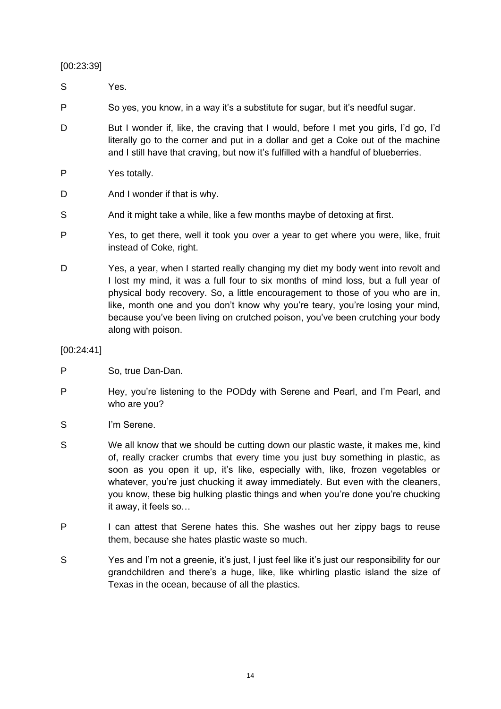[00:23:39]

S Yes.

P So yes, you know, in a way it's a substitute for sugar, but it's needful sugar.

- D But I wonder if, like, the craving that I would, before I met you girls, I'd go, I'd literally go to the corner and put in a dollar and get a Coke out of the machine and I still have that craving, but now it's fulfilled with a handful of blueberries.
- P Yes totally.
- D And I wonder if that is why.
- S And it might take a while, like a few months maybe of detoxing at first.
- P Yes, to get there, well it took you over a year to get where you were, like, fruit instead of Coke, right.
- D Yes, a year, when I started really changing my diet my body went into revolt and I lost my mind, it was a full four to six months of mind loss, but a full year of physical body recovery. So, a little encouragement to those of you who are in, like, month one and you don't know why you're teary, you're losing your mind, because you've been living on crutched poison, you've been crutching your body along with poison.

# [00:24:41]

- P So, true Dan-Dan.
- P Hey, you're listening to the PODdy with Serene and Pearl, and I'm Pearl, and who are you?
- S I'm Serene.
- S We all know that we should be cutting down our plastic waste, it makes me, kind of, really cracker crumbs that every time you just buy something in plastic, as soon as you open it up, it's like, especially with, like, frozen vegetables or whatever, you're just chucking it away immediately. But even with the cleaners, you know, these big hulking plastic things and when you're done you're chucking it away, it feels so…
- P I can attest that Serene hates this. She washes out her zippy bags to reuse them, because she hates plastic waste so much.
- S Yes and I'm not a greenie, it's just, I just feel like it's just our responsibility for our grandchildren and there's a huge, like, like whirling plastic island the size of Texas in the ocean, because of all the plastics.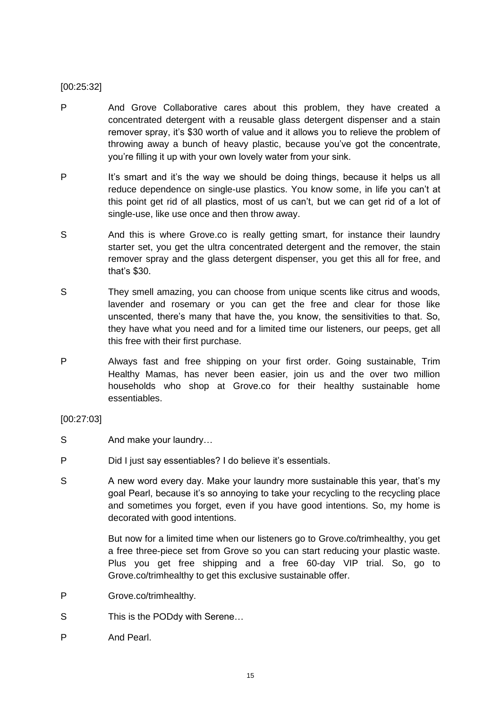# [00:25:32]

- P And Grove Collaborative cares about this problem, they have created a concentrated detergent with a reusable glass detergent dispenser and a stain remover spray, it's \$30 worth of value and it allows you to relieve the problem of throwing away a bunch of heavy plastic, because you've got the concentrate, you're filling it up with your own lovely water from your sink.
- P It's smart and it's the way we should be doing things, because it helps us all reduce dependence on single-use plastics. You know some, in life you can't at this point get rid of all plastics, most of us can't, but we can get rid of a lot of single-use, like use once and then throw away.
- S And this is where Grove.co is really getting smart, for instance their laundry starter set, you get the ultra concentrated detergent and the remover, the stain remover spray and the glass detergent dispenser, you get this all for free, and that's \$30.
- S They smell amazing, you can choose from unique scents like citrus and woods, lavender and rosemary or you can get the free and clear for those like unscented, there's many that have the, you know, the sensitivities to that. So, they have what you need and for a limited time our listeners, our peeps, get all this free with their first purchase.
- P Always fast and free shipping on your first order. Going sustainable, Trim Healthy Mamas, has never been easier, join us and the over two million households who shop at Grove.co for their healthy sustainable home essentiables.

# [00:27:03]

- S And make your laundry...
- P Did I just say essentiables? I do believe it's essentials.
- S A new word every day. Make your laundry more sustainable this year, that's my goal Pearl, because it's so annoying to take your recycling to the recycling place and sometimes you forget, even if you have good intentions. So, my home is decorated with good intentions.

But now for a limited time when our listeners go to Grove.co/trimhealthy, you get a free three-piece set from Grove so you can start reducing your plastic waste. Plus you get free shipping and a free 60-day VIP trial. So, go to Grove.co/trimhealthy to get this exclusive sustainable offer.

- P Grove.co/trimhealthy.
- S This is the PODdy with Serene...
- P And Pearl.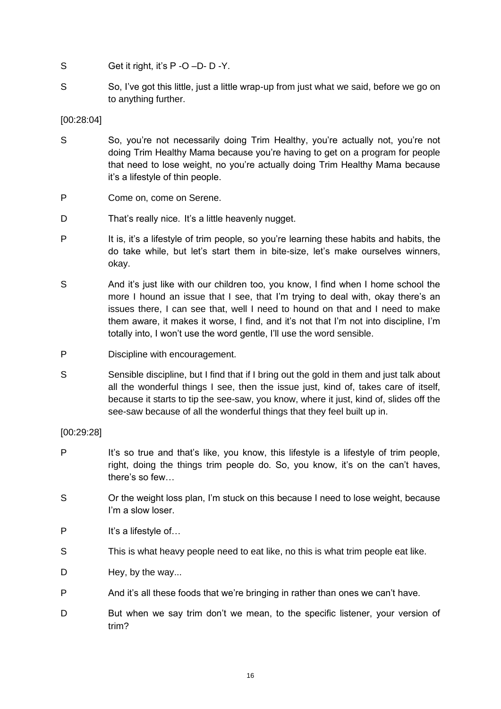- S Get it right, it's P -O -D- D -Y.
- S So, I've got this little, just a little wrap-up from just what we said, before we go on to anything further.

# [00:28:04]

- S So, you're not necessarily doing Trim Healthy, you're actually not, you're not doing Trim Healthy Mama because you're having to get on a program for people that need to lose weight, no you're actually doing Trim Healthy Mama because it's a lifestyle of thin people.
- P Come on, come on Serene.
- D That's really nice. It's a little heavenly nugget.
- P It is, it's a lifestyle of trim people, so you're learning these habits and habits, the do take while, but let's start them in bite-size, let's make ourselves winners, okay.
- S And it's just like with our children too, you know, I find when I home school the more I hound an issue that I see, that I'm trying to deal with, okay there's an issues there, I can see that, well I need to hound on that and I need to make them aware, it makes it worse, I find, and it's not that I'm not into discipline, I'm totally into, I won't use the word gentle, I'll use the word sensible.
- P Discipline with encouragement.
- S Sensible discipline, but I find that if I bring out the gold in them and just talk about all the wonderful things I see, then the issue just, kind of, takes care of itself, because it starts to tip the see-saw, you know, where it just, kind of, slides off the see-saw because of all the wonderful things that they feel built up in.

# [00:29:28]

- P It's so true and that's like, you know, this lifestyle is a lifestyle of trim people, right, doing the things trim people do. So, you know, it's on the can't haves, there's so few…
- S Or the weight loss plan, I'm stuck on this because I need to lose weight, because I'm a slow loser.
- P It's a lifestyle of...
- S This is what heavy people need to eat like, no this is what trim people eat like.
- D Hey, by the way...
- P And it's all these foods that we're bringing in rather than ones we can't have.
- D But when we say trim don't we mean, to the specific listener, your version of trim?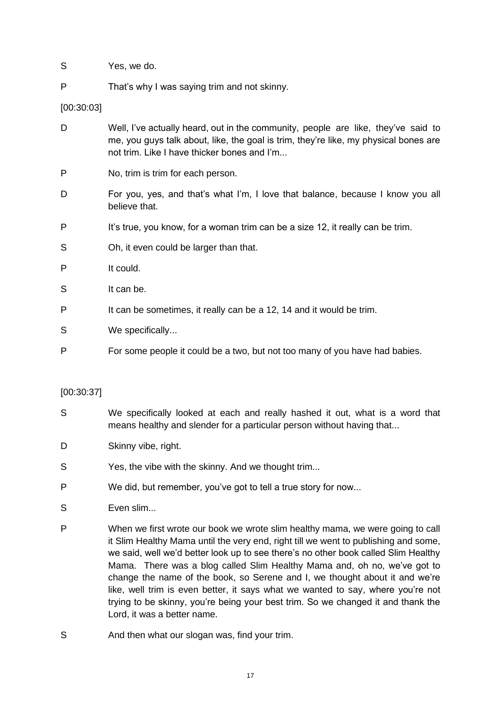- S Yes, we do.
- P That's why I was saying trim and not skinny.

[00:30:03]

- D Well, I've actually heard, out in the community, people are like, they've said to me, you guys talk about, like, the goal is trim, they're like, my physical bones are not trim. Like I have thicker bones and I'm...
- P No, trim is trim for each person.
- D For you, yes, and that's what I'm, I love that balance, because I know you all believe that.
- P It's true, you know, for a woman trim can be a size 12, it really can be trim.
- S Oh, it even could be larger than that.
- P It could.
- S It can be.
- P It can be sometimes, it really can be a 12, 14 and it would be trim.
- S We specifically...
- P For some people it could be a two, but not too many of you have had babies.

# [00:30:37]

- S We specifically looked at each and really hashed it out, what is a word that means healthy and slender for a particular person without having that...
- D Skinny vibe, right.
- S Yes, the vibe with the skinny. And we thought trim...
- P We did, but remember, you've got to tell a true story for now...
- S Even slim...
- P When we first wrote our book we wrote slim healthy mama, we were going to call it Slim Healthy Mama until the very end, right till we went to publishing and some, we said, well we'd better look up to see there's no other book called Slim Healthy Mama. There was a blog called Slim Healthy Mama and, oh no, we've got to change the name of the book, so Serene and I, we thought about it and we're like, well trim is even better, it says what we wanted to say, where you're not trying to be skinny, you're being your best trim. So we changed it and thank the Lord, it was a better name.
- S And then what our slogan was, find your trim.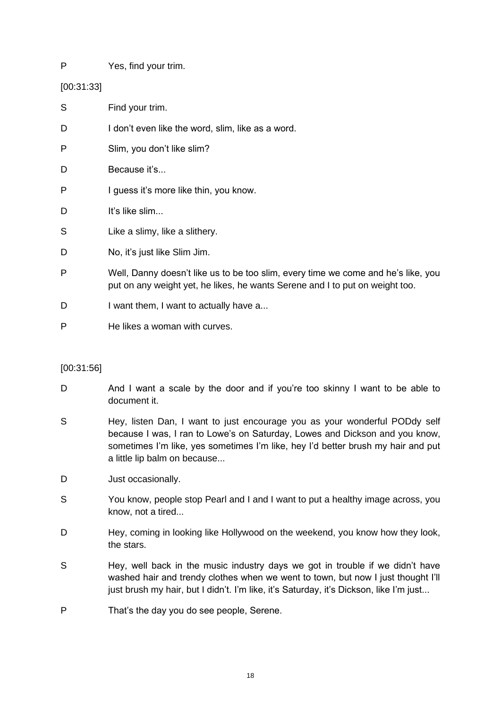P Yes, find your trim.

[00:31:33]

| S | Find your trim.                                                                                                                                                   |
|---|-------------------------------------------------------------------------------------------------------------------------------------------------------------------|
| D | I don't even like the word, slim, like as a word.                                                                                                                 |
| P | Slim, you don't like slim?                                                                                                                                        |
| D | Because it's                                                                                                                                                      |
| P | I guess it's more like thin, you know.                                                                                                                            |
| D | It's like slim                                                                                                                                                    |
| S | Like a slimy, like a slithery.                                                                                                                                    |
| D | No, it's just like Slim Jim.                                                                                                                                      |
| P | Well, Danny doesn't like us to be too slim, every time we come and he's like, you<br>put on any weight yet, he likes, he wants Serene and I to put on weight too. |
| D | I want them, I want to actually have a                                                                                                                            |
| P | He likes a woman with curves.                                                                                                                                     |

# [00:31:56]

- D And I want a scale by the door and if you're too skinny I want to be able to document it.
- S Hey, listen Dan, I want to just encourage you as your wonderful PODdy self because I was, I ran to Lowe's on Saturday, Lowes and Dickson and you know, sometimes I'm like, yes sometimes I'm like, hey I'd better brush my hair and put a little lip balm on because...
- D **Just occasionally**.
- S You know, people stop Pearl and I and I want to put a healthy image across, you know, not a tired...
- D Hey, coming in looking like Hollywood on the weekend, you know how they look, the stars.
- S Hey, well back in the music industry days we got in trouble if we didn't have washed hair and trendy clothes when we went to town, but now I just thought I'll just brush my hair, but I didn't. I'm like, it's Saturday, it's Dickson, like I'm just...
- P That's the day you do see people, Serene.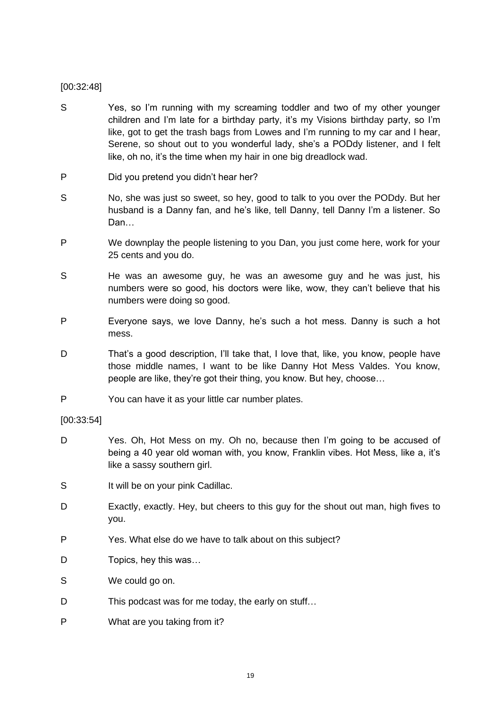# [00:32:48]

- S Yes, so I'm running with my screaming toddler and two of my other younger children and I'm late for a birthday party, it's my Visions birthday party, so I'm like, got to get the trash bags from Lowes and I'm running to my car and I hear, Serene, so shout out to you wonderful lady, she's a PODdy listener, and I felt like, oh no, it's the time when my hair in one big dreadlock wad.
- P Did you pretend you didn't hear her?
- S No, she was just so sweet, so hey, good to talk to you over the PODdy. But her husband is a Danny fan, and he's like, tell Danny, tell Danny I'm a listener. So Dan…
- P We downplay the people listening to you Dan, you just come here, work for your 25 cents and you do.
- S He was an awesome guy, he was an awesome guy and he was just, his numbers were so good, his doctors were like, wow, they can't believe that his numbers were doing so good.
- P Everyone says, we love Danny, he's such a hot mess. Danny is such a hot mess.
- D That's a good description, I'll take that, I love that, like, you know, people have those middle names, I want to be like Danny Hot Mess Valdes. You know, people are like, they're got their thing, you know. But hey, choose…
- P You can have it as your little car number plates.

# [00:33:54]

- D Yes. Oh, Hot Mess on my. Oh no, because then I'm going to be accused of being a 40 year old woman with, you know, Franklin vibes. Hot Mess, like a, it's like a sassy southern girl.
- S It will be on your pink Cadillac.
- D Exactly, exactly. Hey, but cheers to this guy for the shout out man, high fives to you.
- P Yes. What else do we have to talk about on this subject?
- D Topics, hey this was...
- S We could go on.
- D This podcast was for me today, the early on stuff...
- P What are you taking from it?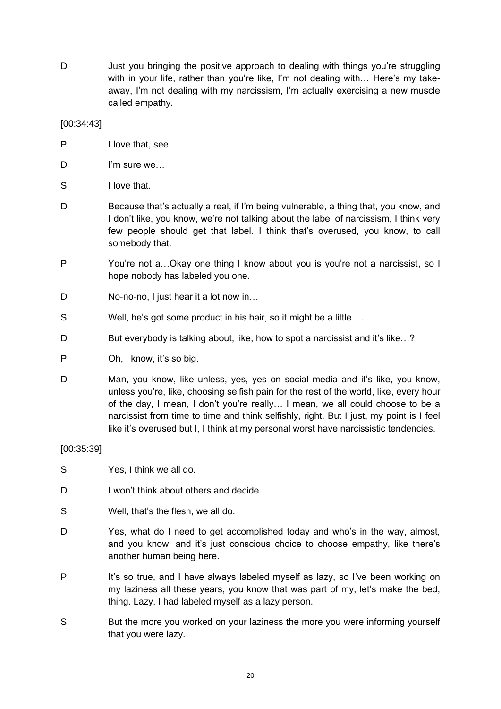D Just you bringing the positive approach to dealing with things you're struggling with in your life, rather than you're like, I'm not dealing with… Here's my takeaway, I'm not dealing with my narcissism, I'm actually exercising a new muscle called empathy.

[00:34:43]

- P I love that, see.
- D I'm sure we...
- S I love that.
- D Because that's actually a real, if I'm being vulnerable, a thing that, you know, and I don't like, you know, we're not talking about the label of narcissism, I think very few people should get that label. I think that's overused, you know, to call somebody that.
- P You're not a…Okay one thing I know about you is you're not a narcissist, so I hope nobody has labeled you one.
- D No-no-no, I just hear it a lot now in...
- S Well, he's got some product in his hair, so it might be a little….
- D But everybody is talking about, like, how to spot a narcissist and it's like...?
- P Oh, I know, it's so big.
- D Man, you know, like unless, yes, yes on social media and it's like, you know, unless you're, like, choosing selfish pain for the rest of the world, like, every hour of the day, I mean, I don't you're really… I mean, we all could choose to be a narcissist from time to time and think selfishly, right. But I just, my point is I feel like it's overused but I, I think at my personal worst have narcissistic tendencies.

# [00:35:39]

- S Yes, I think we all do.
- D I won't think about others and decide...
- S Well, that's the flesh, we all do.
- D Yes, what do I need to get accomplished today and who's in the way, almost, and you know, and it's just conscious choice to choose empathy, like there's another human being here.
- P It's so true, and I have always labeled myself as lazy, so I've been working on my laziness all these years, you know that was part of my, let's make the bed, thing. Lazy, I had labeled myself as a lazy person.
- S But the more you worked on your laziness the more you were informing yourself that you were lazy.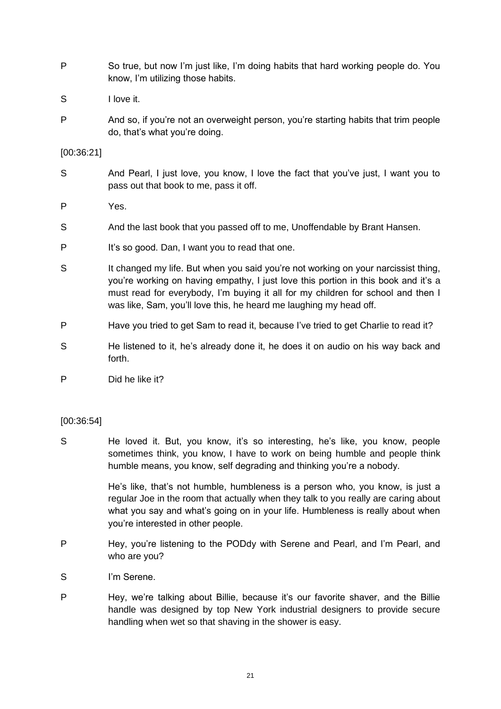- P So true, but now I'm just like, I'm doing habits that hard working people do. You know, I'm utilizing those habits.
- S I love it.
- P And so, if you're not an overweight person, you're starting habits that trim people do, that's what you're doing.

# [00:36:21]

- S And Pearl, I just love, you know, I love the fact that you've just, I want you to pass out that book to me, pass it off.
- P Yes.
- S And the last book that you passed off to me, Unoffendable by Brant Hansen.
- P It's so good. Dan, I want you to read that one.
- S It changed my life. But when you said you're not working on your narcissist thing, you're working on having empathy, I just love this portion in this book and it's a must read for everybody, I'm buying it all for my children for school and then I was like, Sam, you'll love this, he heard me laughing my head off.
- P Have you tried to get Sam to read it, because I've tried to get Charlie to read it?
- S He listened to it, he's already done it, he does it on audio on his way back and forth.

P Did he like it?

# [00:36:54]

S He loved it. But, you know, it's so interesting, he's like, you know, people sometimes think, you know, I have to work on being humble and people think humble means, you know, self degrading and thinking you're a nobody.

> He's like, that's not humble, humbleness is a person who, you know, is just a regular Joe in the room that actually when they talk to you really are caring about what you say and what's going on in your life. Humbleness is really about when you're interested in other people.

- P Hey, you're listening to the PODdy with Serene and Pearl, and I'm Pearl, and who are you?
- S I'm Serene.
- P Hey, we're talking about Billie, because it's our favorite shaver, and the Billie handle was designed by top New York industrial designers to provide secure handling when wet so that shaving in the shower is easy.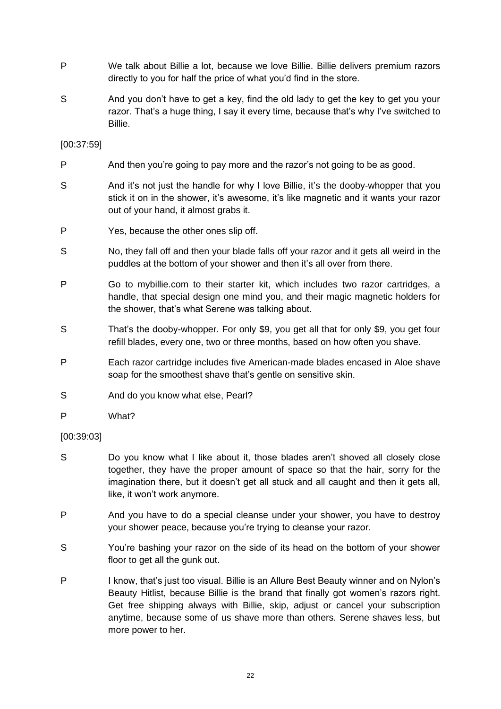- P We talk about Billie a lot, because we love Billie. Billie delivers premium razors directly to you for half the price of what you'd find in the store.
- S And you don't have to get a key, find the old lady to get the key to get you your razor. That's a huge thing, I say it every time, because that's why I've switched to Billie.

# [00:37:59]

- P And then you're going to pay more and the razor's not going to be as good.
- S And it's not just the handle for why I love Billie, it's the dooby-whopper that you stick it on in the shower, it's awesome, it's like magnetic and it wants your razor out of your hand, it almost grabs it.
- P Yes, because the other ones slip off.
- S No, they fall off and then your blade falls off your razor and it gets all weird in the puddles at the bottom of your shower and then it's all over from there.
- P Go to mybillie.com to their starter kit, which includes two razor cartridges, a handle, that special design one mind you, and their magic magnetic holders for the shower, that's what Serene was talking about.
- S That's the dooby-whopper. For only \$9, you get all that for only \$9, you get four refill blades, every one, two or three months, based on how often you shave.
- P Each razor cartridge includes five American-made blades encased in Aloe shave soap for the smoothest shave that's gentle on sensitive skin.
- S And do you know what else, Pearl?
- P What?

# [00:39:03]

- S Do you know what I like about it, those blades aren't shoved all closely close together, they have the proper amount of space so that the hair, sorry for the imagination there, but it doesn't get all stuck and all caught and then it gets all, like, it won't work anymore.
- P And you have to do a special cleanse under your shower, you have to destroy your shower peace, because you're trying to cleanse your razor.
- S You're bashing your razor on the side of its head on the bottom of your shower floor to get all the gunk out.
- P I know, that's just too visual. Billie is an Allure Best Beauty winner and on Nylon's Beauty Hitlist, because Billie is the brand that finally got women's razors right. Get free shipping always with Billie, skip, adjust or cancel your subscription anytime, because some of us shave more than others. Serene shaves less, but more power to her.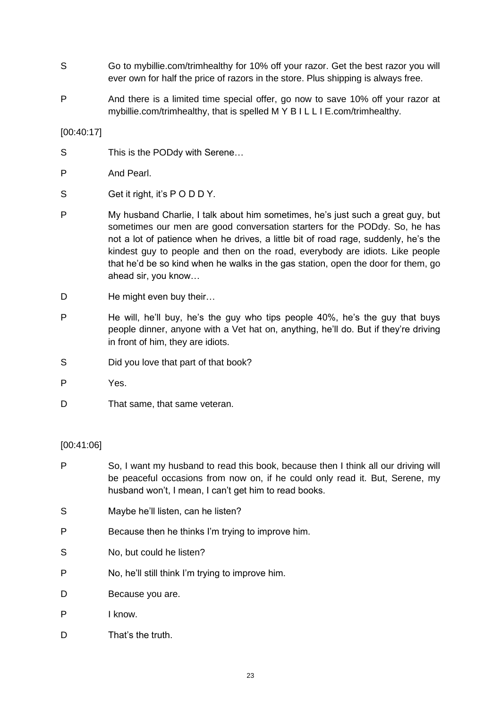- S Go to mybillie.com/trimhealthy for 10% off your razor. Get the best razor you will ever own for half the price of razors in the store. Plus shipping is always free.
- P And there is a limited time special offer, go now to save 10% off your razor at mybillie.com/trimhealthy, that is spelled M Y B I L L I E.com/trimhealthy.

[00:40:17]

- S This is the PODdy with Serene...
- P And Pearl.
- S Get it right, it's PODDY.
- P My husband Charlie, I talk about him sometimes, he's just such a great guy, but sometimes our men are good conversation starters for the PODdy. So, he has not a lot of patience when he drives, a little bit of road rage, suddenly, he's the kindest guy to people and then on the road, everybody are idiots. Like people that he'd be so kind when he walks in the gas station, open the door for them, go ahead sir, you know…
- D He might even buy their...
- P He will, he'll buy, he's the guy who tips people 40%, he's the guy that buys people dinner, anyone with a Vet hat on, anything, he'll do. But if they're driving in front of him, they are idiots.
- S Did you love that part of that book?
- P Yes.
- D That same, that same veteran.

# [00:41:06]

- P So, I want my husband to read this book, because then I think all our driving will be peaceful occasions from now on, if he could only read it. But, Serene, my husband won't, I mean, I can't get him to read books.
- S Maybe he'll listen, can he listen?
- P Because then he thinks I'm trying to improve him.
- S No, but could he listen?
- P No, he'll still think I'm trying to improve him.
- D Because you are.
- P I know.
- D That's the truth.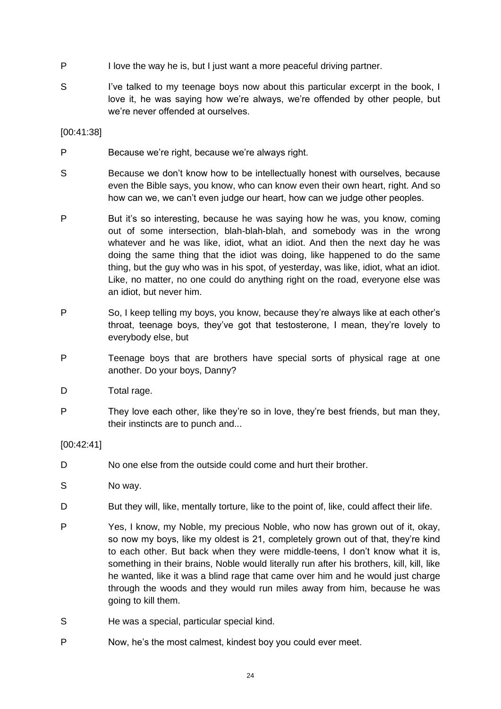- P I love the way he is, but I just want a more peaceful driving partner.
- S I've talked to my teenage boys now about this particular excerpt in the book, I love it, he was saying how we're always, we're offended by other people, but we're never offended at ourselves.

[00:41:38]

- P Because we're right, because we're always right.
- S Because we don't know how to be intellectually honest with ourselves, because even the Bible says, you know, who can know even their own heart, right. And so how can we, we can't even judge our heart, how can we judge other peoples.
- P But it's so interesting, because he was saying how he was, you know, coming out of some intersection, blah-blah-blah, and somebody was in the wrong whatever and he was like, idiot, what an idiot. And then the next day he was doing the same thing that the idiot was doing, like happened to do the same thing, but the guy who was in his spot, of yesterday, was like, idiot, what an idiot. Like, no matter, no one could do anything right on the road, everyone else was an idiot, but never him.
- P So, I keep telling my boys, you know, because they're always like at each other's throat, teenage boys, they've got that testosterone, I mean, they're lovely to everybody else, but
- P Teenage boys that are brothers have special sorts of physical rage at one another. Do your boys, Danny?
- D Total rage.
- P They love each other, like they're so in love, they're best friends, but man they, their instincts are to punch and...

[00:42:41]

- D No one else from the outside could come and hurt their brother.
- S No way.
- D But they will, like, mentally torture, like to the point of, like, could affect their life.
- P Yes, I know, my Noble, my precious Noble, who now has grown out of it, okay, so now my boys, like my oldest is 21, completely grown out of that, they're kind to each other. But back when they were middle-teens, I don't know what it is, something in their brains, Noble would literally run after his brothers, kill, kill, like he wanted, like it was a blind rage that came over him and he would just charge through the woods and they would run miles away from him, because he was going to kill them.
- S He was a special, particular special kind.
- P Now, he's the most calmest, kindest boy you could ever meet.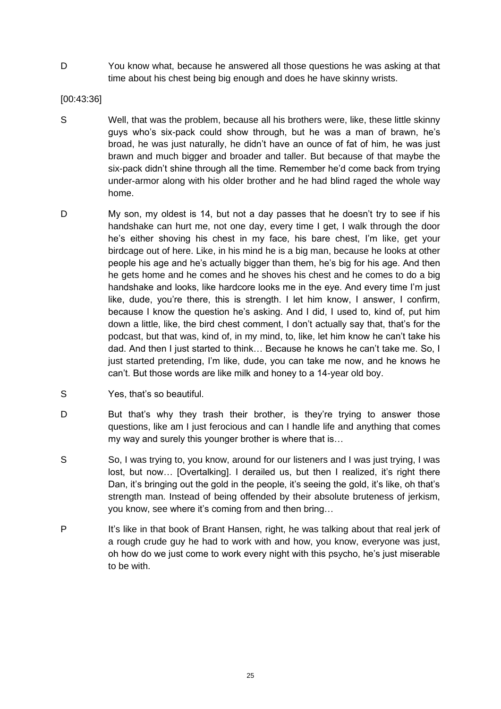D You know what, because he answered all those questions he was asking at that time about his chest being big enough and does he have skinny wrists.

[00:43:36]

- S Well, that was the problem, because all his brothers were, like, these little skinny guys who's six-pack could show through, but he was a man of brawn, he's broad, he was just naturally, he didn't have an ounce of fat of him, he was just brawn and much bigger and broader and taller. But because of that maybe the six-pack didn't shine through all the time. Remember he'd come back from trying under-armor along with his older brother and he had blind raged the whole way home.
- D My son, my oldest is 14, but not a day passes that he doesn't try to see if his handshake can hurt me, not one day, every time I get, I walk through the door he's either shoving his chest in my face, his bare chest, I'm like, get your birdcage out of here. Like, in his mind he is a big man, because he looks at other people his age and he's actually bigger than them, he's big for his age. And then he gets home and he comes and he shoves his chest and he comes to do a big handshake and looks, like hardcore looks me in the eye. And every time I'm just like, dude, you're there, this is strength. I let him know, I answer, I confirm, because I know the question he's asking. And I did, I used to, kind of, put him down a little, like, the bird chest comment, I don't actually say that, that's for the podcast, but that was, kind of, in my mind, to, like, let him know he can't take his dad. And then I just started to think… Because he knows he can't take me. So, I just started pretending, I'm like, dude, you can take me now, and he knows he can't. But those words are like milk and honey to a 14-year old boy.
- S Yes, that's so beautiful.
- D But that's why they trash their brother, is they're trying to answer those questions, like am I just ferocious and can I handle life and anything that comes my way and surely this younger brother is where that is…
- S So, I was trying to, you know, around for our listeners and I was just trying, I was lost, but now... [Overtalking]. I derailed us, but then I realized, it's right there Dan, it's bringing out the gold in the people, it's seeing the gold, it's like, oh that's strength man. Instead of being offended by their absolute bruteness of jerkism, you know, see where it's coming from and then bring…
- P It's like in that book of Brant Hansen, right, he was talking about that real jerk of a rough crude guy he had to work with and how, you know, everyone was just, oh how do we just come to work every night with this psycho, he's just miserable to be with.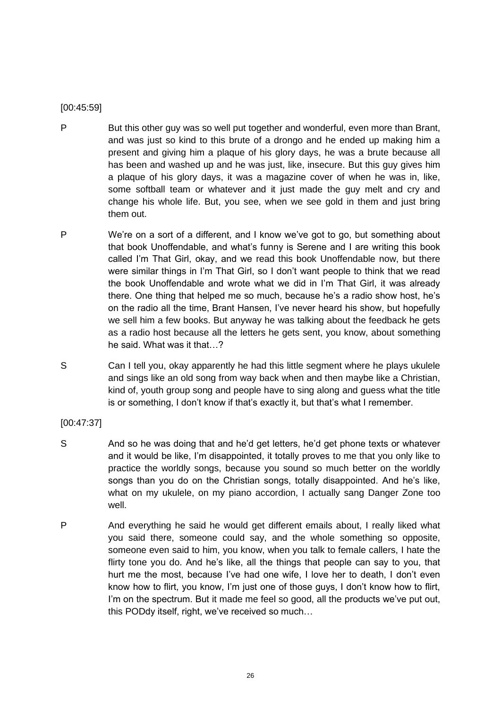# [00:45:59]

- P But this other guy was so well put together and wonderful, even more than Brant, and was just so kind to this brute of a drongo and he ended up making him a present and giving him a plaque of his glory days, he was a brute because all has been and washed up and he was just, like, insecure. But this guy gives him a plaque of his glory days, it was a magazine cover of when he was in, like, some softball team or whatever and it just made the guy melt and cry and change his whole life. But, you see, when we see gold in them and just bring them out.
- P We're on a sort of a different, and I know we've got to go, but something about that book Unoffendable, and what's funny is Serene and I are writing this book called I'm That Girl, okay, and we read this book Unoffendable now, but there were similar things in I'm That Girl, so I don't want people to think that we read the book Unoffendable and wrote what we did in I'm That Girl, it was already there. One thing that helped me so much, because he's a radio show host, he's on the radio all the time, Brant Hansen, I've never heard his show, but hopefully we sell him a few books. But anyway he was talking about the feedback he gets as a radio host because all the letters he gets sent, you know, about something he said. What was it that…?
- S Can I tell you, okay apparently he had this little segment where he plays ukulele and sings like an old song from way back when and then maybe like a Christian, kind of, youth group song and people have to sing along and guess what the title is or something, I don't know if that's exactly it, but that's what I remember.

# [00:47:37]

- S And so he was doing that and he'd get letters, he'd get phone texts or whatever and it would be like, I'm disappointed, it totally proves to me that you only like to practice the worldly songs, because you sound so much better on the worldly songs than you do on the Christian songs, totally disappointed. And he's like, what on my ukulele, on my piano accordion, I actually sang Danger Zone too well.
- P And everything he said he would get different emails about, I really liked what you said there, someone could say, and the whole something so opposite, someone even said to him, you know, when you talk to female callers, I hate the flirty tone you do. And he's like, all the things that people can say to you, that hurt me the most, because I've had one wife, I love her to death, I don't even know how to flirt, you know, I'm just one of those guys, I don't know how to flirt, I'm on the spectrum. But it made me feel so good, all the products we've put out, this PODdy itself, right, we've received so much…